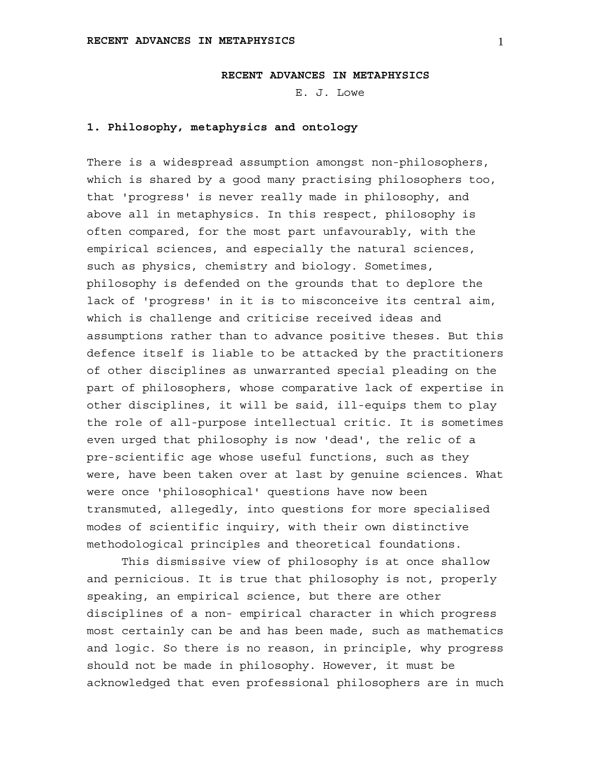E. J. Lowe

# **1. Philosophy, metaphysics and ontology**

There is a widespread assumption amongst non-philosophers, which is shared by a good many practising philosophers too, that 'progress' is never really made in philosophy, and above all in metaphysics. In this respect, philosophy is often compared, for the most part unfavourably, with the empirical sciences, and especially the natural sciences, such as physics, chemistry and biology. Sometimes, philosophy is defended on the grounds that to deplore the lack of 'progress' in it is to misconceive its central aim, which is challenge and criticise received ideas and assumptions rather than to advance positive theses. But this defence itself is liable to be attacked by the practitioners of other disciplines as unwarranted special pleading on the part of philosophers, whose comparative lack of expertise in other disciplines, it will be said, ill-equips them to play the role of all-purpose intellectual critic. It is sometimes even urged that philosophy is now 'dead', the relic of a pre-scientific age whose useful functions, such as they were, have been taken over at last by genuine sciences. What were once 'philosophical' questions have now been transmuted, allegedly, into questions for more specialised modes of scientific inquiry, with their own distinctive methodological principles and theoretical foundations.

 This dismissive view of philosophy is at once shallow and pernicious. It is true that philosophy is not, properly speaking, an empirical science, but there are other disciplines of a non- empirical character in which progress most certainly can be and has been made, such as mathematics and logic. So there is no reason, in principle, why progress should not be made in philosophy. However, it must be acknowledged that even professional philosophers are in much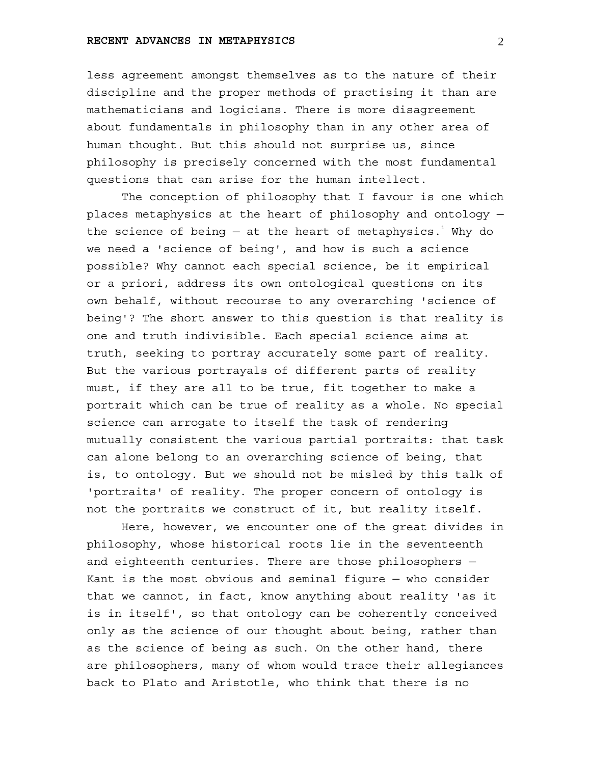less agreement amongst themselves as to the nature of their discipline and the proper methods of practising it than are mathematicians and logicians. There is more disagreement about fundamentals in philosophy than in any other area of human thought. But this should not surprise us, since philosophy is precisely concerned with the most fundamental questions that can arise for the human intellect.

 The conception of philosophy that I favour is one which places metaphysics at the heart of philosophy and ontology the science of being  $-$  at the heart of metaphysics. $^1$  Why do we need a 'science of being', and how is such a science possible? Why cannot each special science, be it empirical or a priori, address its own ontological questions on its own behalf, without recourse to any overarching 'science of being'? The short answer to this question is that reality is one and truth indivisible. Each special science aims at truth, seeking to portray accurately some part of reality. But the various portrayals of different parts of reality must, if they are all to be true, fit together to make a portrait which can be true of reality as a whole. No special science can arrogate to itself the task of rendering mutually consistent the various partial portraits: that task can alone belong to an overarching science of being, that is, to ontology. But we should not be misled by this talk of 'portraits' of reality. The proper concern of ontology is not the portraits we construct of it, but reality itself.

 Here, however, we encounter one of the great divides in philosophy, whose historical roots lie in the seventeenth and eighteenth centuries. There are those philosophers — Kant is the most obvious and seminal figure — who consider that we cannot, in fact, know anything about reality 'as it is in itself', so that ontology can be coherently conceived only as the science of our thought about being, rather than as the science of being as such. On the other hand, there are philosophers, many of whom would trace their allegiances back to Plato and Aristotle, who think that there is no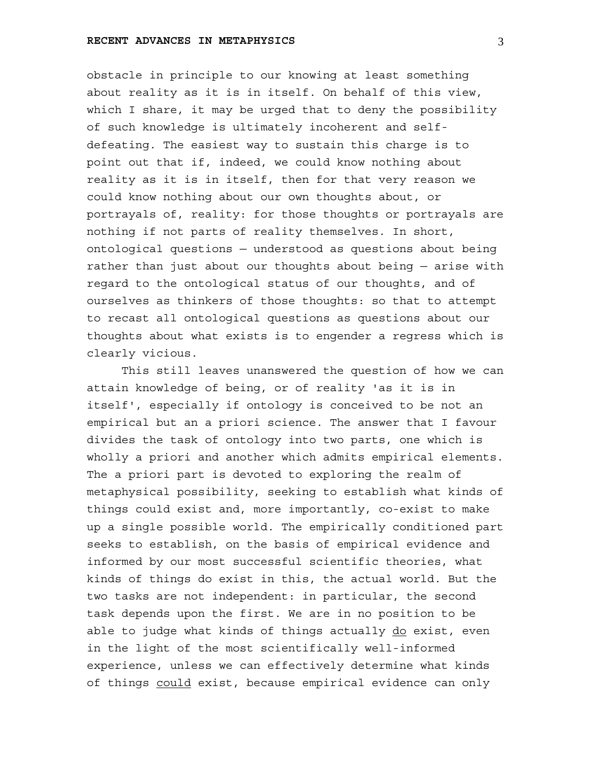obstacle in principle to our knowing at least something about reality as it is in itself. On behalf of this view, which I share, it may be urged that to deny the possibility of such knowledge is ultimately incoherent and selfdefeating. The easiest way to sustain this charge is to point out that if, indeed, we could know nothing about reality as it is in itself, then for that very reason we could know nothing about our own thoughts about, or portrayals of, reality: for those thoughts or portrayals are nothing if not parts of reality themselves. In short, ontological questions — understood as questions about being rather than just about our thoughts about being — arise with regard to the ontological status of our thoughts, and of ourselves as thinkers of those thoughts: so that to attempt to recast all ontological questions as questions about our thoughts about what exists is to engender a regress which is clearly vicious.

 This still leaves unanswered the question of how we can attain knowledge of being, or of reality 'as it is in itself', especially if ontology is conceived to be not an empirical but an a priori science. The answer that I favour divides the task of ontology into two parts, one which is wholly a priori and another which admits empirical elements. The a priori part is devoted to exploring the realm of metaphysical possibility, seeking to establish what kinds of things could exist and, more importantly, co-exist to make up a single possible world. The empirically conditioned part seeks to establish, on the basis of empirical evidence and informed by our most successful scientific theories, what kinds of things do exist in this, the actual world. But the two tasks are not independent: in particular, the second task depends upon the first. We are in no position to be able to judge what kinds of things actually do exist, even in the light of the most scientifically well-informed experience, unless we can effectively determine what kinds of things could exist, because empirical evidence can only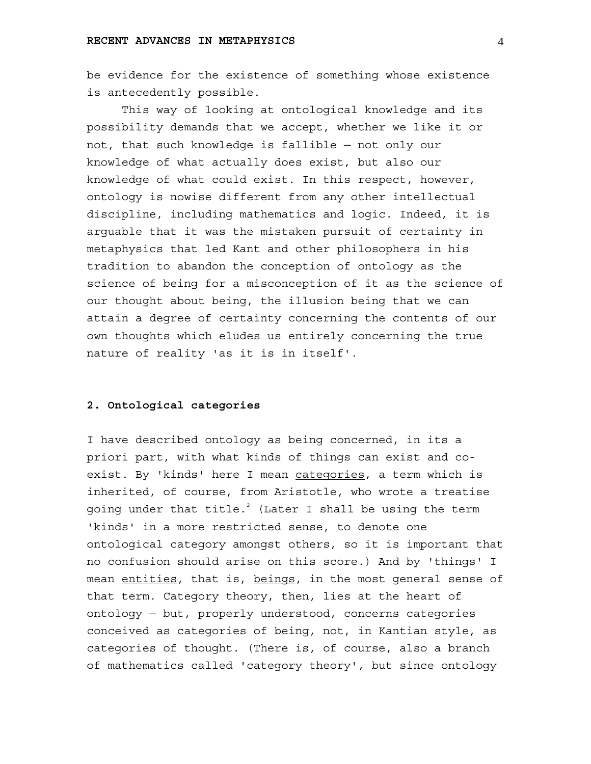be evidence for the existence of something whose existence is antecedently possible.

 This way of looking at ontological knowledge and its possibility demands that we accept, whether we like it or not, that such knowledge is fallible — not only our knowledge of what actually does exist, but also our knowledge of what could exist. In this respect, however, ontology is nowise different from any other intellectual discipline, including mathematics and logic. Indeed, it is arguable that it was the mistaken pursuit of certainty in metaphysics that led Kant and other philosophers in his tradition to abandon the conception of ontology as the science of being for a misconception of it as the science of our thought about being, the illusion being that we can attain a degree of certainty concerning the contents of our own thoughts which eludes us entirely concerning the true nature of reality 'as it is in itself'.

## **2. Ontological categories**

I have described ontology as being concerned, in its a priori part, with what kinds of things can exist and coexist. By 'kinds' here I mean categories, a term which is inherited, of course, from Aristotle, who wrote a treatise going under that title. $^2$  (Later I shall be using the term 'kinds' in a more restricted sense, to denote one ontological category amongst others, so it is important that no confusion should arise on this score.) And by 'things' I mean entities, that is, beings, in the most general sense of that term. Category theory, then, lies at the heart of ontology — but, properly understood, concerns categories conceived as categories of being, not, in Kantian style, as categories of thought. (There is, of course, also a branch of mathematics called 'category theory', but since ontology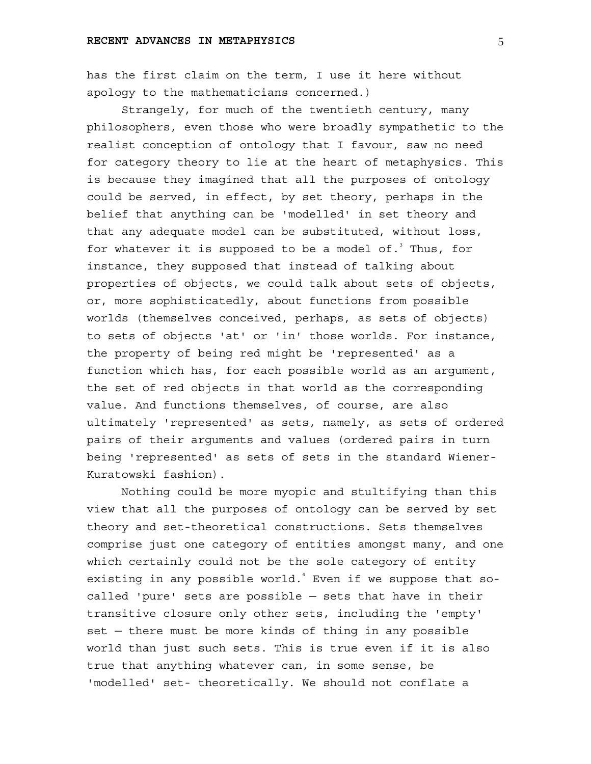has the first claim on the term, I use it here without apology to the mathematicians concerned.)

 Strangely, for much of the twentieth century, many philosophers, even those who were broadly sympathetic to the realist conception of ontology that I favour, saw no need for category theory to lie at the heart of metaphysics. This is because they imagined that all the purposes of ontology could be served, in effect, by set theory, perhaps in the belief that anything can be 'modelled' in set theory and that any adequate model can be substituted, without loss, for whatever it is supposed to be a model of.<sup>3</sup> Thus, for instance, they supposed that instead of talking about properties of objects, we could talk about sets of objects, or, more sophisticatedly, about functions from possible worlds (themselves conceived, perhaps, as sets of objects) to sets of objects 'at' or 'in' those worlds. For instance, the property of being red might be 'represented' as a function which has, for each possible world as an argument, the set of red objects in that world as the corresponding value. And functions themselves, of course, are also ultimately 'represented' as sets, namely, as sets of ordered pairs of their arguments and values (ordered pairs in turn being 'represented' as sets of sets in the standard Wiener-Kuratowski fashion).

 Nothing could be more myopic and stultifying than this view that all the purposes of ontology can be served by set theory and set-theoretical constructions. Sets themselves comprise just one category of entities amongst many, and one which certainly could not be the sole category of entity existing in any possible world. $^4$  Even if we suppose that socalled 'pure' sets are possible — sets that have in their transitive closure only other sets, including the 'empty' set — there must be more kinds of thing in any possible world than just such sets. This is true even if it is also true that anything whatever can, in some sense, be 'modelled' set- theoretically. We should not conflate a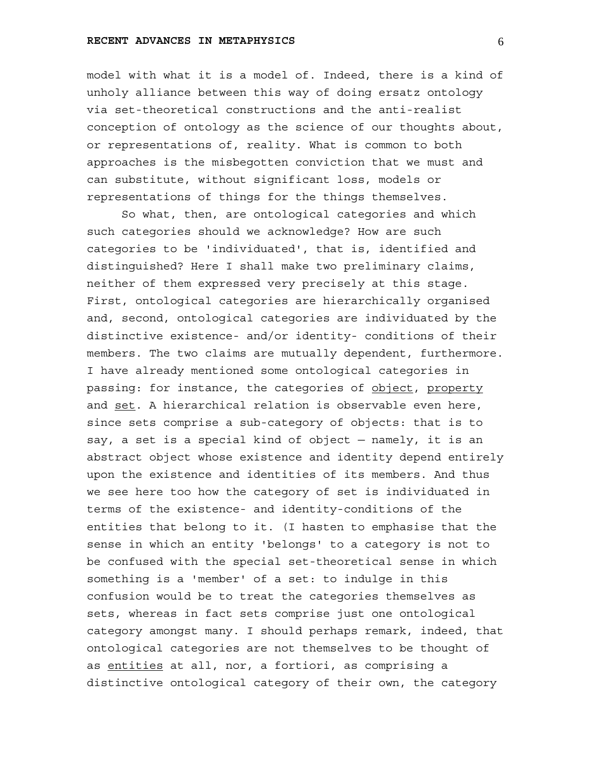model with what it is a model of. Indeed, there is a kind of unholy alliance between this way of doing ersatz ontology via set-theoretical constructions and the anti-realist conception of ontology as the science of our thoughts about, or representations of, reality. What is common to both approaches is the misbegotten conviction that we must and can substitute, without significant loss, models or representations of things for the things themselves.

 So what, then, are ontological categories and which such categories should we acknowledge? How are such categories to be 'individuated', that is, identified and distinguished? Here I shall make two preliminary claims, neither of them expressed very precisely at this stage. First, ontological categories are hierarchically organised and, second, ontological categories are individuated by the distinctive existence- and/or identity- conditions of their members. The two claims are mutually dependent, furthermore. I have already mentioned some ontological categories in passing: for instance, the categories of object, property and set. A hierarchical relation is observable even here, since sets comprise a sub-category of objects: that is to say, a set is a special kind of object — namely, it is an abstract object whose existence and identity depend entirely upon the existence and identities of its members. And thus we see here too how the category of set is individuated in terms of the existence- and identity-conditions of the entities that belong to it. (I hasten to emphasise that the sense in which an entity 'belongs' to a category is not to be confused with the special set-theoretical sense in which something is a 'member' of a set: to indulge in this confusion would be to treat the categories themselves as sets, whereas in fact sets comprise just one ontological category amongst many. I should perhaps remark, indeed, that ontological categories are not themselves to be thought of as entities at all, nor, a fortiori, as comprising a distinctive ontological category of their own, the category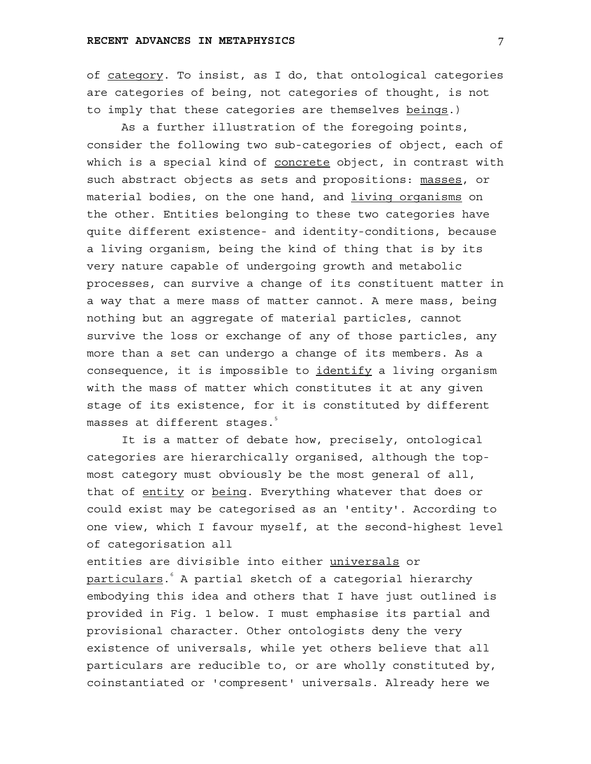of category. To insist, as I do, that ontological categories are categories of being, not categories of thought, is not to imply that these categories are themselves beings.)

 As a further illustration of the foregoing points, consider the following two sub-categories of object, each of which is a special kind of concrete object, in contrast with such abstract objects as sets and propositions: masses, or material bodies, on the one hand, and living organisms on the other. Entities belonging to these two categories have quite different existence- and identity-conditions, because a living organism, being the kind of thing that is by its very nature capable of undergoing growth and metabolic processes, can survive a change of its constituent matter in a way that a mere mass of matter cannot. A mere mass, being nothing but an aggregate of material particles, cannot survive the loss or exchange of any of those particles, any more than a set can undergo a change of its members. As a consequence, it is impossible to *identify* a living organism with the mass of matter which constitutes it at any given stage of its existence, for it is constituted by different masses at different stages. $^{\mathrm{5}}$ 

 It is a matter of debate how, precisely, ontological categories are hierarchically organised, although the topmost category must obviously be the most general of all, that of entity or being. Everything whatever that does or could exist may be categorised as an 'entity'. According to one view, which I favour myself, at the second-highest level of categorisation all

entities are divisible into either universals or particulars. A partial sketch of a categorial hierarchy embodying this idea and others that I have just outlined is provided in Fig. 1 below. I must emphasise its partial and provisional character. Other ontologists deny the very existence of universals, while yet others believe that all particulars are reducible to, or are wholly constituted by, coinstantiated or 'compresent' universals. Already here we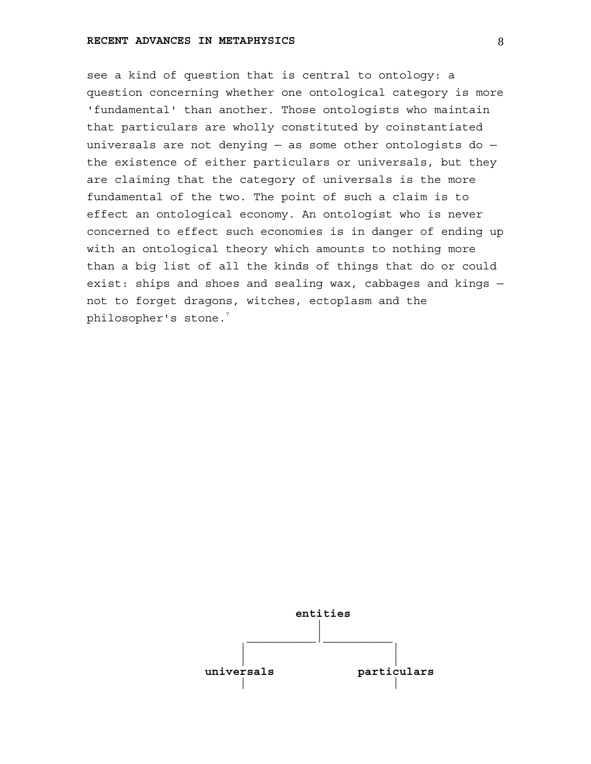see a kind of question that is central to ontology: a question concerning whether one ontological category is more 'fundamental' than another. Those ontologists who maintain that particulars are wholly constituted by coinstantiated universals are not denying  $-$  as some other ontologists do  $$ the existence of either particulars or universals, but they are claiming that the category of universals is the more fundamental of the two. The point of such a claim is to effect an ontological economy. An ontologist who is never concerned to effect such economies is in danger of ending up with an ontological theory which amounts to nothing more than a big list of all the kinds of things that do or could exist: ships and shoes and sealing wax, cabbages and kings not to forget dragons, witches, ectoplasm and the philosopher's stone. $^{7}$ 

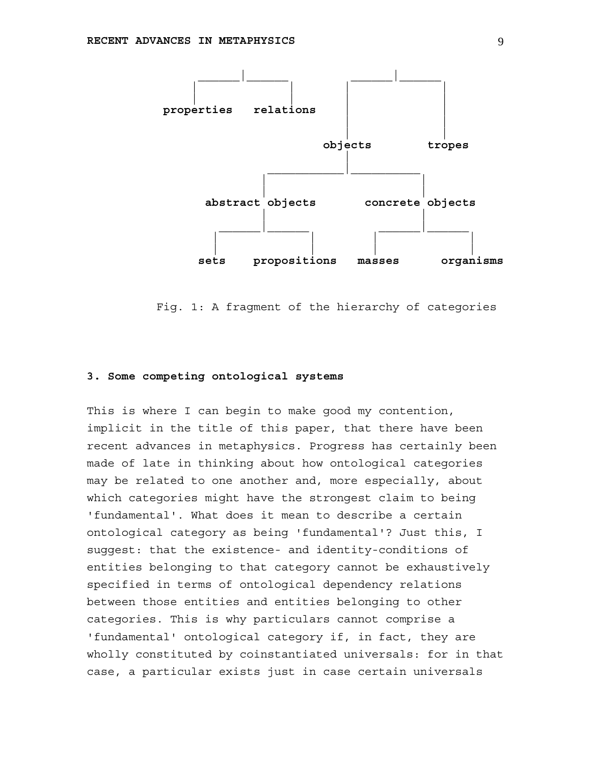

Fig. 1: A fragment of the hierarchy of categories

## **3. Some competing ontological systems**

This is where I can begin to make good my contention, implicit in the title of this paper, that there have been recent advances in metaphysics. Progress has certainly been made of late in thinking about how ontological categories may be related to one another and, more especially, about which categories might have the strongest claim to being 'fundamental'. What does it mean to describe a certain ontological category as being 'fundamental'? Just this, I suggest: that the existence- and identity-conditions of entities belonging to that category cannot be exhaustively specified in terms of ontological dependency relations between those entities and entities belonging to other categories. This is why particulars cannot comprise a 'fundamental' ontological category if, in fact, they are wholly constituted by coinstantiated universals: for in that case, a particular exists just in case certain universals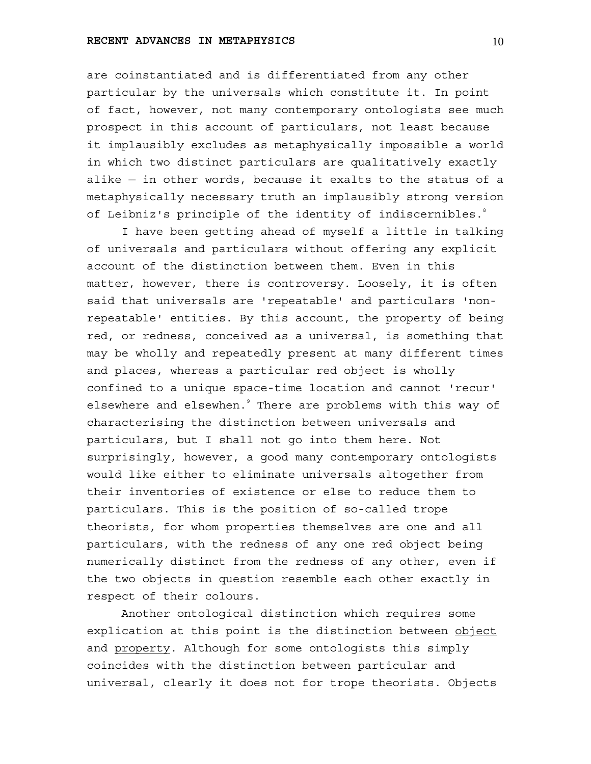are coinstantiated and is differentiated from any other particular by the universals which constitute it. In point of fact, however, not many contemporary ontologists see much prospect in this account of particulars, not least because it implausibly excludes as metaphysically impossible a world in which two distinct particulars are qualitatively exactly alike — in other words, because it exalts to the status of a metaphysically necessary truth an implausibly strong version of Leibniz's principle of the identity of indiscernibles.<sup>8</sup>

 I have been getting ahead of myself a little in talking of universals and particulars without offering any explicit account of the distinction between them. Even in this matter, however, there is controversy. Loosely, it is often said that universals are 'repeatable' and particulars 'nonrepeatable' entities. By this account, the property of being red, or redness, conceived as a universal, is something that may be wholly and repeatedly present at many different times and places, whereas a particular red object is wholly confined to a unique space-time location and cannot 'recur' elsewhere and elsewhen. $^{\circ}$  There are problems with this way of characterising the distinction between universals and particulars, but I shall not go into them here. Not surprisingly, however, a good many contemporary ontologists would like either to eliminate universals altogether from their inventories of existence or else to reduce them to particulars. This is the position of so-called trope theorists, for whom properties themselves are one and all particulars, with the redness of any one red object being numerically distinct from the redness of any other, even if the two objects in question resemble each other exactly in respect of their colours.

 Another ontological distinction which requires some explication at this point is the distinction between object and property. Although for some ontologists this simply coincides with the distinction between particular and universal, clearly it does not for trope theorists. Objects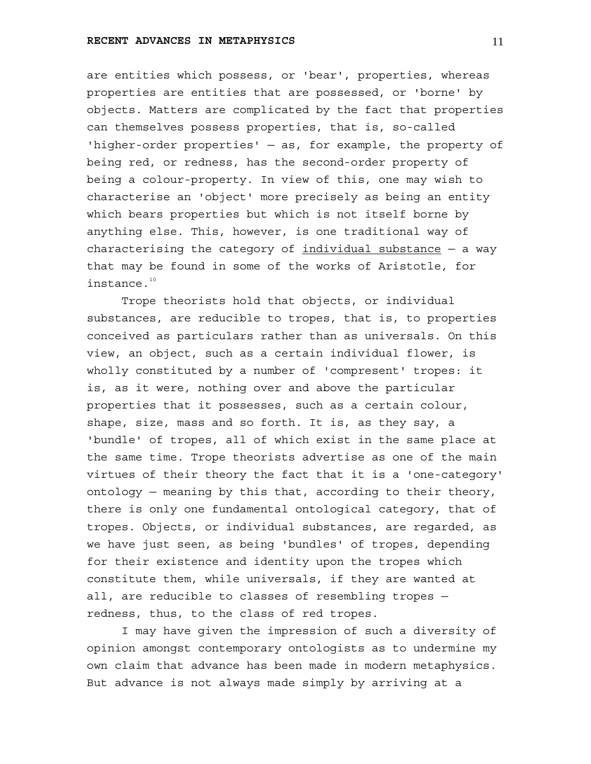are entities which possess, or 'bear', properties, whereas properties are entities that are possessed, or 'borne' by objects. Matters are complicated by the fact that properties can themselves possess properties, that is, so-called 'higher-order properties' — as, for example, the property of being red, or redness, has the second-order property of being a colour-property. In view of this, one may wish to characterise an 'object' more precisely as being an entity which bears properties but which is not itself borne by anything else. This, however, is one traditional way of characterising the category of  $indivial$  substance  $-$  a way that may be found in some of the works of Aristotle, for instance.<sup>10</sup>

 Trope theorists hold that objects, or individual substances, are reducible to tropes, that is, to properties conceived as particulars rather than as universals. On this view, an object, such as a certain individual flower, is wholly constituted by a number of 'compresent' tropes: it is, as it were, nothing over and above the particular properties that it possesses, such as a certain colour, shape, size, mass and so forth. It is, as they say, a 'bundle' of tropes, all of which exist in the same place at the same time. Trope theorists advertise as one of the main virtues of their theory the fact that it is a 'one-category' ontology — meaning by this that, according to their theory, there is only one fundamental ontological category, that of tropes. Objects, or individual substances, are regarded, as we have just seen, as being 'bundles' of tropes, depending for their existence and identity upon the tropes which constitute them, while universals, if they are wanted at all, are reducible to classes of resembling tropes redness, thus, to the class of red tropes.

 I may have given the impression of such a diversity of opinion amongst contemporary ontologists as to undermine my own claim that advance has been made in modern metaphysics. But advance is not always made simply by arriving at a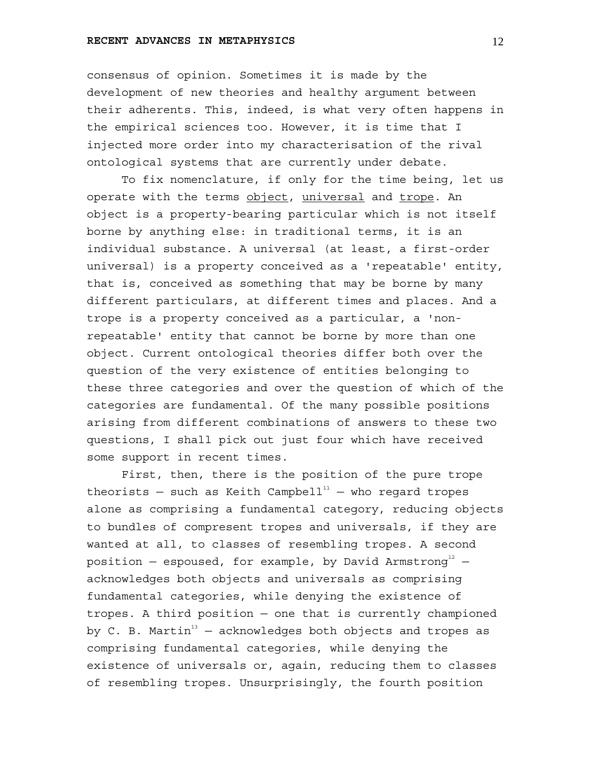consensus of opinion. Sometimes it is made by the development of new theories and healthy argument between their adherents. This, indeed, is what very often happens in the empirical sciences too. However, it is time that I injected more order into my characterisation of the rival ontological systems that are currently under debate.

 To fix nomenclature, if only for the time being, let us operate with the terms object, universal and trope. An object is a property-bearing particular which is not itself borne by anything else: in traditional terms, it is an individual substance. A universal (at least, a first-order universal) is a property conceived as a 'repeatable' entity, that is, conceived as something that may be borne by many different particulars, at different times and places. And a trope is a property conceived as a particular, a 'nonrepeatable' entity that cannot be borne by more than one object. Current ontological theories differ both over the question of the very existence of entities belonging to these three categories and over the question of which of the categories are fundamental. Of the many possible positions arising from different combinations of answers to these two questions, I shall pick out just four which have received some support in recent times.

 First, then, there is the position of the pure trope theorists – such as Keith Campbell<sup>11</sup> – who regard tropes alone as comprising a fundamental category, reducing objects to bundles of compresent tropes and universals, if they are wanted at all, to classes of resembling tropes. A second position — espoused, for example, by David Armstrong $^{\scriptscriptstyle 12}$  acknowledges both objects and universals as comprising fundamental categories, while denying the existence of tropes. A third position — one that is currently championed by C. B. Martin<sup>13</sup> - acknowledges both objects and tropes as comprising fundamental categories, while denying the existence of universals or, again, reducing them to classes of resembling tropes. Unsurprisingly, the fourth position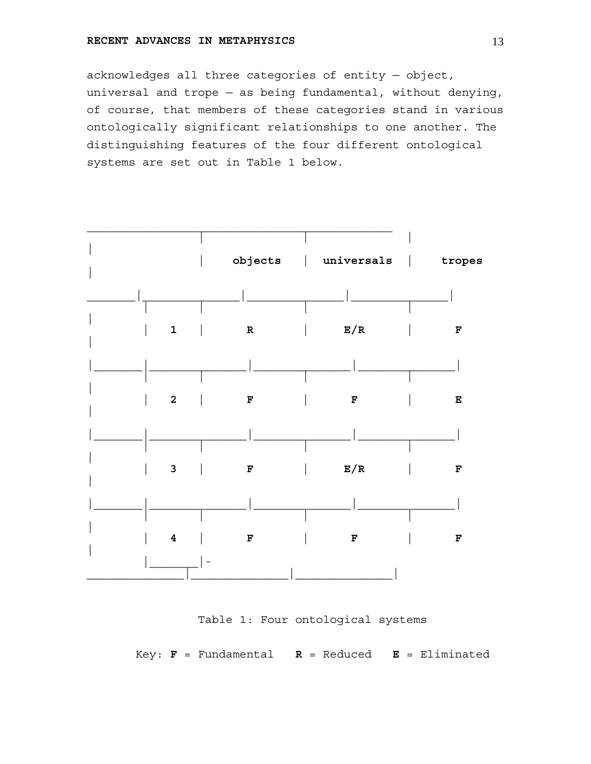acknowledges all three categories of entity — object, universal and trope — as being fundamental, without denying, of course, that members of these categories stand in various ontologically significant relationships to one another. The distinguishing features of the four different ontological systems are set out in Table 1 below.



Table 1: Four ontological systems

Key:  $F =$  Fundamental  $R =$  Reduced  $E =$  Eliminated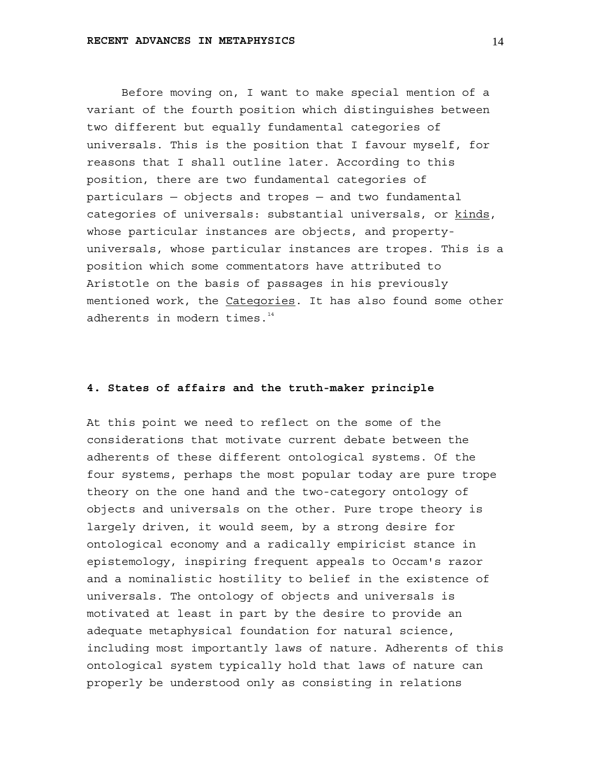Before moving on, I want to make special mention of a variant of the fourth position which distinguishes between two different but equally fundamental categories of universals. This is the position that I favour myself, for reasons that I shall outline later. According to this position, there are two fundamental categories of particulars — objects and tropes — and two fundamental categories of universals: substantial universals, or kinds, whose particular instances are objects, and propertyuniversals, whose particular instances are tropes. This is a position which some commentators have attributed to Aristotle on the basis of passages in his previously mentioned work, the Categories. It has also found some other adherents in modern times. $14$ 

# **4. States of affairs and the truth-maker principle**

At this point we need to reflect on the some of the considerations that motivate current debate between the adherents of these different ontological systems. Of the four systems, perhaps the most popular today are pure trope theory on the one hand and the two-category ontology of objects and universals on the other. Pure trope theory is largely driven, it would seem, by a strong desire for ontological economy and a radically empiricist stance in epistemology, inspiring frequent appeals to Occam's razor and a nominalistic hostility to belief in the existence of universals. The ontology of objects and universals is motivated at least in part by the desire to provide an adequate metaphysical foundation for natural science, including most importantly laws of nature. Adherents of this ontological system typically hold that laws of nature can properly be understood only as consisting in relations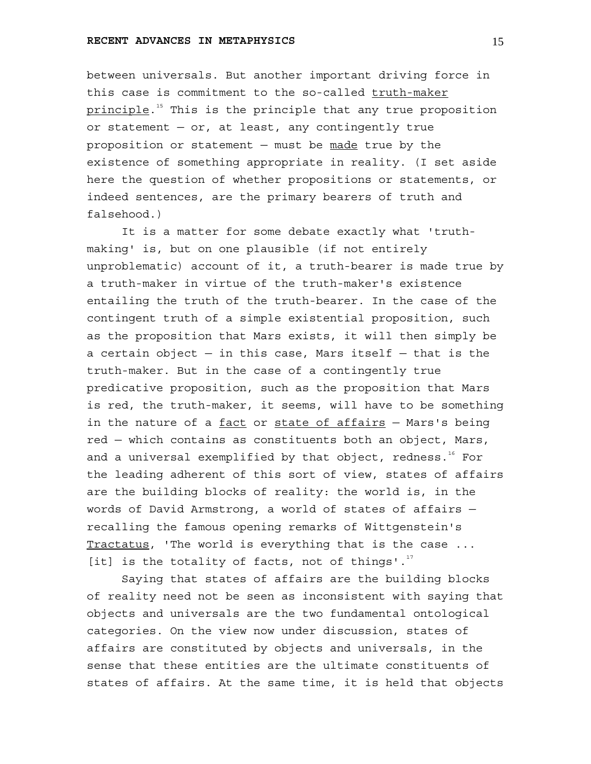between universals. But another important driving force in this case is commitment to the so-called truth-maker principle.<sup>15</sup> This is the principle that any true proposition or statement — or, at least, any contingently true proposition or statement — must be made true by the existence of something appropriate in reality. (I set aside here the question of whether propositions or statements, or indeed sentences, are the primary bearers of truth and falsehood.)

 It is a matter for some debate exactly what 'truthmaking' is, but on one plausible (if not entirely unproblematic) account of it, a truth-bearer is made true by a truth-maker in virtue of the truth-maker's existence entailing the truth of the truth-bearer. In the case of the contingent truth of a simple existential proposition, such as the proposition that Mars exists, it will then simply be a certain object — in this case, Mars itself — that is the truth-maker. But in the case of a contingently true predicative proposition, such as the proposition that Mars is red, the truth-maker, it seems, will have to be something in the nature of a fact or state of affairs - Mars's being red — which contains as constituents both an object, Mars, and a universal exemplified by that object, redness.<sup>16</sup> For the leading adherent of this sort of view, states of affairs are the building blocks of reality: the world is, in the words of David Armstrong, a world of states of affairs recalling the famous opening remarks of Wittgenstein's Tractatus, 'The world is everything that is the case ... [it] is the totality of facts, not of things'.<sup>17</sup>

 Saying that states of affairs are the building blocks of reality need not be seen as inconsistent with saying that objects and universals are the two fundamental ontological categories. On the view now under discussion, states of affairs are constituted by objects and universals, in the sense that these entities are the ultimate constituents of states of affairs. At the same time, it is held that objects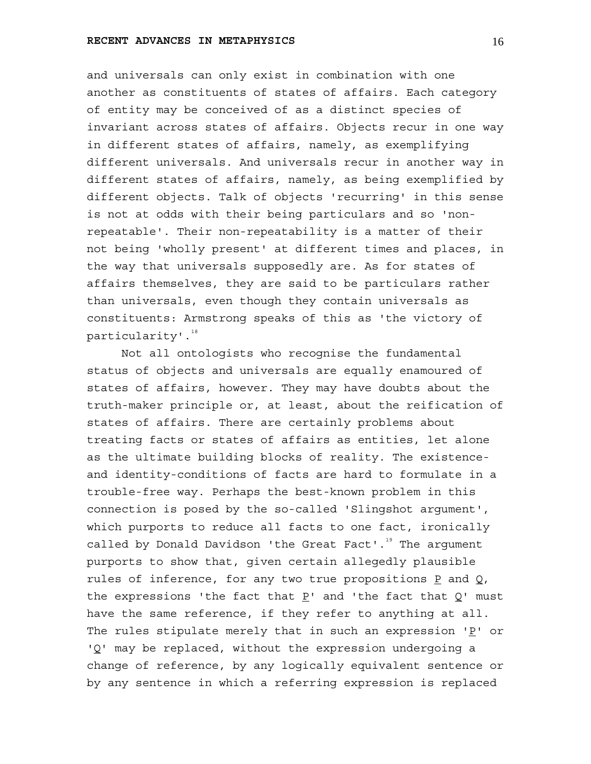and universals can only exist in combination with one another as constituents of states of affairs. Each category of entity may be conceived of as a distinct species of invariant across states of affairs. Objects recur in one way in different states of affairs, namely, as exemplifying different universals. And universals recur in another way in different states of affairs, namely, as being exemplified by different objects. Talk of objects 'recurring' in this sense is not at odds with their being particulars and so 'nonrepeatable'. Their non-repeatability is a matter of their not being 'wholly present' at different times and places, in the way that universals supposedly are. As for states of affairs themselves, they are said to be particulars rather than universals, even though they contain universals as constituents: Armstrong speaks of this as 'the victory of particularity'. $^{\rm ^{18}}$ 

 Not all ontologists who recognise the fundamental status of objects and universals are equally enamoured of states of affairs, however. They may have doubts about the truth-maker principle or, at least, about the reification of states of affairs. There are certainly problems about treating facts or states of affairs as entities, let alone as the ultimate building blocks of reality. The existenceand identity-conditions of facts are hard to formulate in a trouble-free way. Perhaps the best-known problem in this connection is posed by the so-called 'Slingshot argument', which purports to reduce all facts to one fact, ironically called by Donald Davidson 'the Great Fact'.<sup>19</sup> The argument purports to show that, given certain allegedly plausible rules of inference, for any two true propositions  $\underline{P}$  and  $\underline{Q}$ , the expressions 'the fact that  $\underline{P}$ ' and 'the fact that  $\underline{Q}$ ' must have the same reference, if they refer to anything at all. The rules stipulate merely that in such an expression 'P' or 'Q' may be replaced, without the expression undergoing a change of reference, by any logically equivalent sentence or by any sentence in which a referring expression is replaced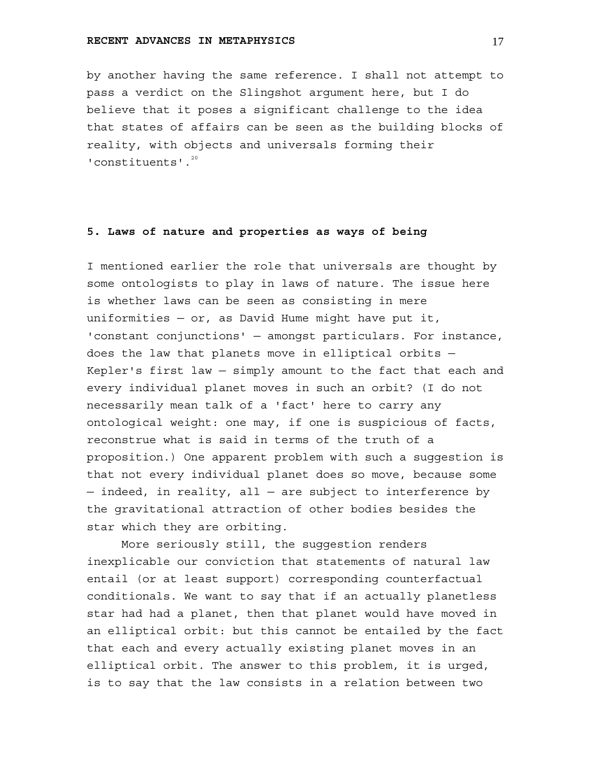by another having the same reference. I shall not attempt to pass a verdict on the Slingshot argument here, but I do believe that it poses a significant challenge to the idea that states of affairs can be seen as the building blocks of reality, with objects and universals forming their 'constituents'.<sup>20</sup>

## **5. Laws of nature and properties as ways of being**

I mentioned earlier the role that universals are thought by some ontologists to play in laws of nature. The issue here is whether laws can be seen as consisting in mere uniformities — or, as David Hume might have put it, 'constant conjunctions' — amongst particulars. For instance, does the law that planets move in elliptical orbits — Kepler's first law — simply amount to the fact that each and every individual planet moves in such an orbit? (I do not necessarily mean talk of a 'fact' here to carry any ontological weight: one may, if one is suspicious of facts, reconstrue what is said in terms of the truth of a proposition.) One apparent problem with such a suggestion is that not every individual planet does so move, because some — indeed, in reality, all — are subject to interference by the gravitational attraction of other bodies besides the star which they are orbiting.

 More seriously still, the suggestion renders inexplicable our conviction that statements of natural law entail (or at least support) corresponding counterfactual conditionals. We want to say that if an actually planetless star had had a planet, then that planet would have moved in an elliptical orbit: but this cannot be entailed by the fact that each and every actually existing planet moves in an elliptical orbit. The answer to this problem, it is urged, is to say that the law consists in a relation between two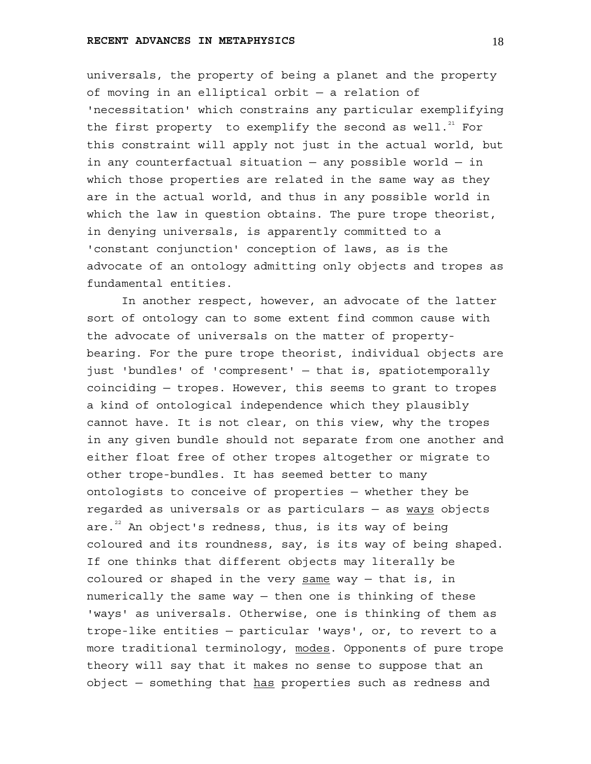universals, the property of being a planet and the property of moving in an elliptical orbit — a relation of 'necessitation' which constrains any particular exemplifying the first property to exemplify the second as well.<sup>21</sup> For this constraint will apply not just in the actual world, but in any counterfactual situation — any possible world — in which those properties are related in the same way as they are in the actual world, and thus in any possible world in which the law in question obtains. The pure trope theorist, in denying universals, is apparently committed to a 'constant conjunction' conception of laws, as is the advocate of an ontology admitting only objects and tropes as fundamental entities.

 In another respect, however, an advocate of the latter sort of ontology can to some extent find common cause with the advocate of universals on the matter of propertybearing. For the pure trope theorist, individual objects are just 'bundles' of 'compresent' — that is, spatiotemporally coinciding — tropes. However, this seems to grant to tropes a kind of ontological independence which they plausibly cannot have. It is not clear, on this view, why the tropes in any given bundle should not separate from one another and either float free of other tropes altogether or migrate to other trope-bundles. It has seemed better to many ontologists to conceive of properties — whether they be regarded as universals or as particulars - as ways objects are. $22$  An object's redness, thus, is its way of being coloured and its roundness, say, is its way of being shaped. If one thinks that different objects may literally be coloured or shaped in the very  $same$  way  $-$  that is, in numerically the same way — then one is thinking of these 'ways' as universals. Otherwise, one is thinking of them as trope-like entities — particular 'ways', or, to revert to a more traditional terminology, modes. Opponents of pure trope theory will say that it makes no sense to suppose that an object — something that has properties such as redness and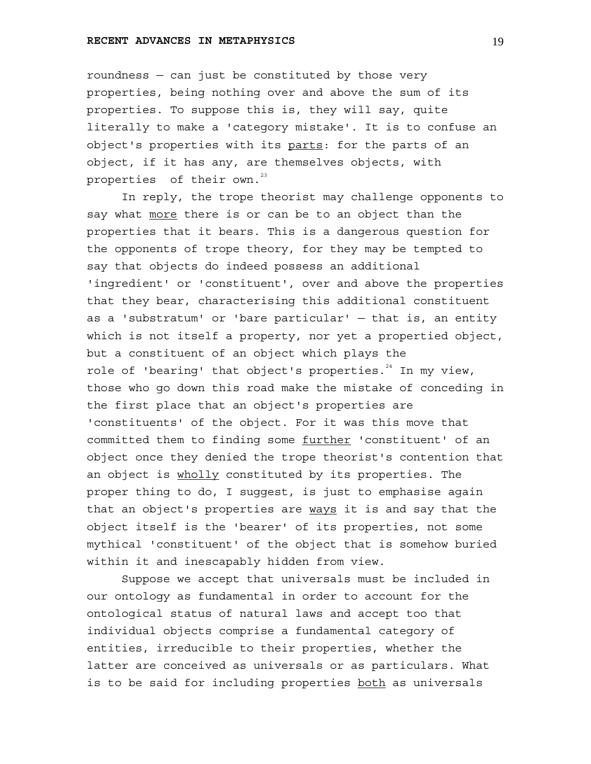roundness — can just be constituted by those very properties, being nothing over and above the sum of its properties. To suppose this is, they will say, quite literally to make a 'category mistake'. It is to confuse an object's properties with its parts: for the parts of an object, if it has any, are themselves objects, with properties of their own.<sup>23</sup>

 In reply, the trope theorist may challenge opponents to say what more there is or can be to an object than the properties that it bears. This is a dangerous question for the opponents of trope theory, for they may be tempted to say that objects do indeed possess an additional 'ingredient' or 'constituent', over and above the properties that they bear, characterising this additional constituent as a 'substratum' or 'bare particular' — that is, an entity which is not itself a property, nor yet a propertied object, but a constituent of an object which plays the role of 'bearing' that object's properties. $24$  In my view, those who go down this road make the mistake of conceding in the first place that an object's properties are 'constituents' of the object. For it was this move that committed them to finding some further 'constituent' of an object once they denied the trope theorist's contention that an object is wholly constituted by its properties. The proper thing to do, I suggest, is just to emphasise again that an object's properties are ways it is and say that the object itself is the 'bearer' of its properties, not some mythical 'constituent' of the object that is somehow buried within it and inescapably hidden from view.

 Suppose we accept that universals must be included in our ontology as fundamental in order to account for the ontological status of natural laws and accept too that individual objects comprise a fundamental category of entities, irreducible to their properties, whether the latter are conceived as universals or as particulars. What is to be said for including properties both as universals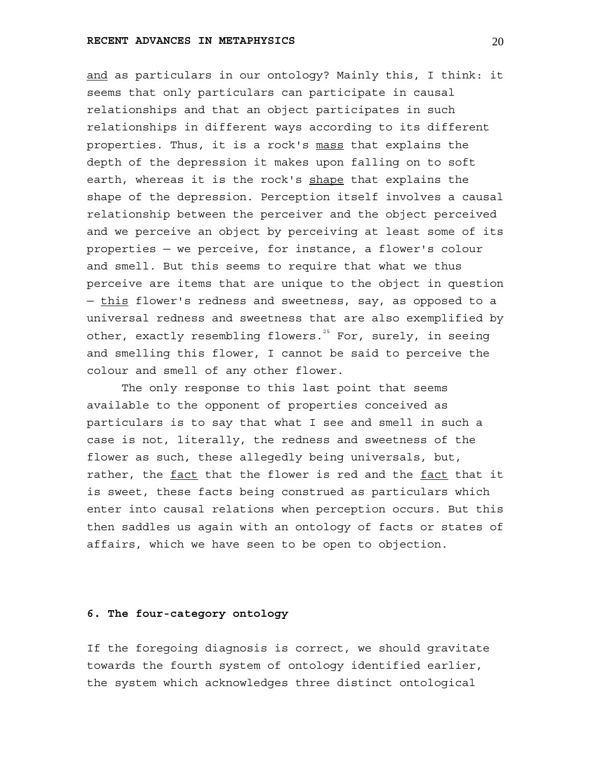and as particulars in our ontology? Mainly this, I think: it seems that only particulars can participate in causal relationships and that an object participates in such relationships in different ways according to its different properties. Thus, it is a rock's mass that explains the depth of the depression it makes upon falling on to soft earth, whereas it is the rock's shape that explains the shape of the depression. Perception itself involves a causal relationship between the perceiver and the object perceived and we perceive an object by perceiving at least some of its properties — we perceive, for instance, a flower's colour and smell. But this seems to require that what we thus perceive are items that are unique to the object in question - this flower's redness and sweetness, say, as opposed to a universal redness and sweetness that are also exemplified by other, exactly resembling flowers.<sup>25</sup> For, surely, in seeing and smelling this flower, I cannot be said to perceive the colour and smell of any other flower.

 The only response to this last point that seems available to the opponent of properties conceived as particulars is to say that what I see and smell in such a case is not, literally, the redness and sweetness of the flower as such, these allegedly being universals, but, rather, the fact that the flower is red and the fact that it is sweet, these facts being construed as particulars which enter into causal relations when perception occurs. But this then saddles us again with an ontology of facts or states of affairs, which we have seen to be open to objection.

## **6. The four-category ontology**

If the foregoing diagnosis is correct, we should gravitate towards the fourth system of ontology identified earlier, the system which acknowledges three distinct ontological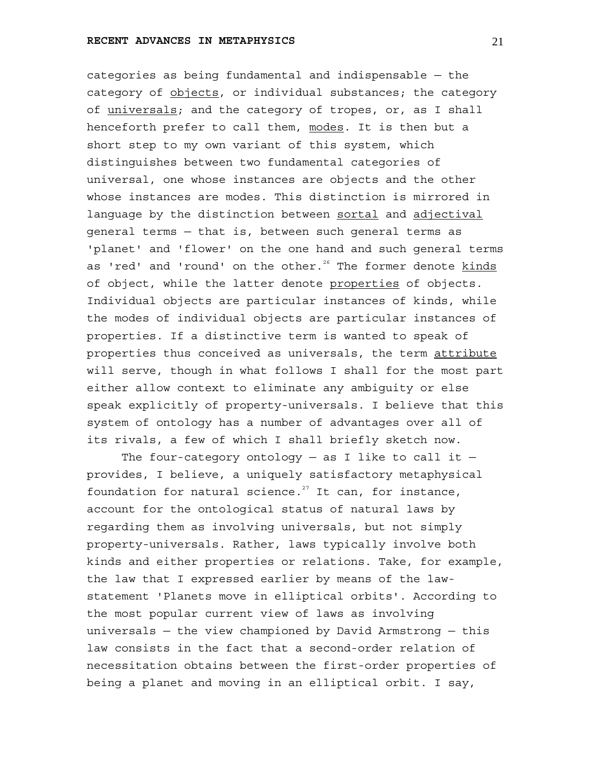categories as being fundamental and indispensable — the category of objects, or individual substances; the category of universals; and the category of tropes, or, as I shall henceforth prefer to call them, modes. It is then but a short step to my own variant of this system, which distinguishes between two fundamental categories of universal, one whose instances are objects and the other whose instances are modes. This distinction is mirrored in language by the distinction between sortal and adjectival general terms — that is, between such general terms as 'planet' and 'flower' on the one hand and such general terms as 'red' and 'round' on the other.<sup>26</sup> The former denote kinds of object, while the latter denote properties of objects. Individual objects are particular instances of kinds, while the modes of individual objects are particular instances of properties. If a distinctive term is wanted to speak of properties thus conceived as universals, the term attribute will serve, though in what follows I shall for the most part either allow context to eliminate any ambiguity or else speak explicitly of property-universals. I believe that this system of ontology has a number of advantages over all of its rivals, a few of which I shall briefly sketch now.

The four-category ontology  $-$  as I like to call it  $$ provides, I believe, a uniquely satisfactory metaphysical foundation for natural science.<sup>27</sup> It can, for instance, account for the ontological status of natural laws by regarding them as involving universals, but not simply property-universals. Rather, laws typically involve both kinds and either properties or relations. Take, for example, the law that I expressed earlier by means of the lawstatement 'Planets move in elliptical orbits'. According to the most popular current view of laws as involving universals  $-$  the view championed by David Armstrong  $-$  this law consists in the fact that a second-order relation of necessitation obtains between the first-order properties of being a planet and moving in an elliptical orbit. I say,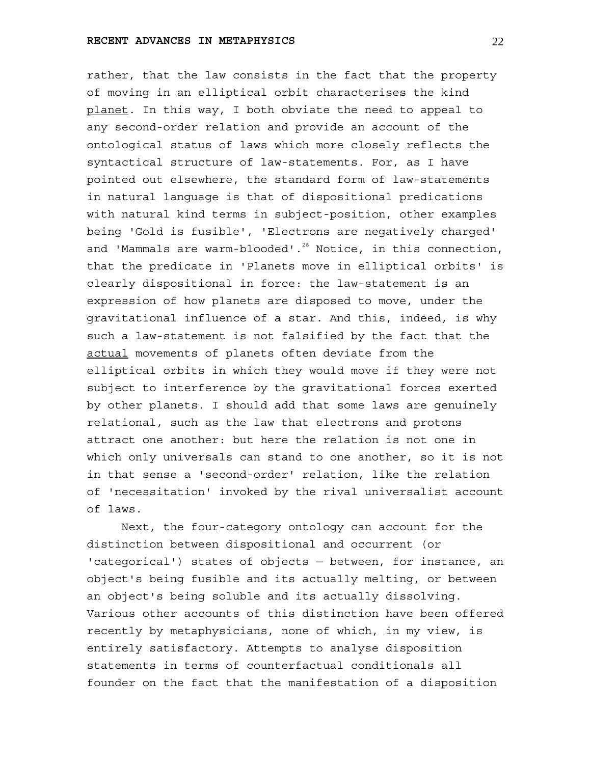rather, that the law consists in the fact that the property of moving in an elliptical orbit characterises the kind planet. In this way, I both obviate the need to appeal to any second-order relation and provide an account of the ontological status of laws which more closely reflects the syntactical structure of law-statements. For, as I have pointed out elsewhere, the standard form of law-statements in natural language is that of dispositional predications with natural kind terms in subject-position, other examples being 'Gold is fusible', 'Electrons are negatively charged' and 'Mammals are warm-blooded'. $28$  Notice, in this connection, that the predicate in 'Planets move in elliptical orbits' is clearly dispositional in force: the law-statement is an expression of how planets are disposed to move, under the gravitational influence of a star. And this, indeed, is why such a law-statement is not falsified by the fact that the actual movements of planets often deviate from the elliptical orbits in which they would move if they were not subject to interference by the gravitational forces exerted by other planets. I should add that some laws are genuinely relational, such as the law that electrons and protons attract one another: but here the relation is not one in which only universals can stand to one another, so it is not in that sense a 'second-order' relation, like the relation of 'necessitation' invoked by the rival universalist account of laws.

 Next, the four-category ontology can account for the distinction between dispositional and occurrent (or 'categorical') states of objects — between, for instance, an object's being fusible and its actually melting, or between an object's being soluble and its actually dissolving. Various other accounts of this distinction have been offered recently by metaphysicians, none of which, in my view, is entirely satisfactory. Attempts to analyse disposition statements in terms of counterfactual conditionals all founder on the fact that the manifestation of a disposition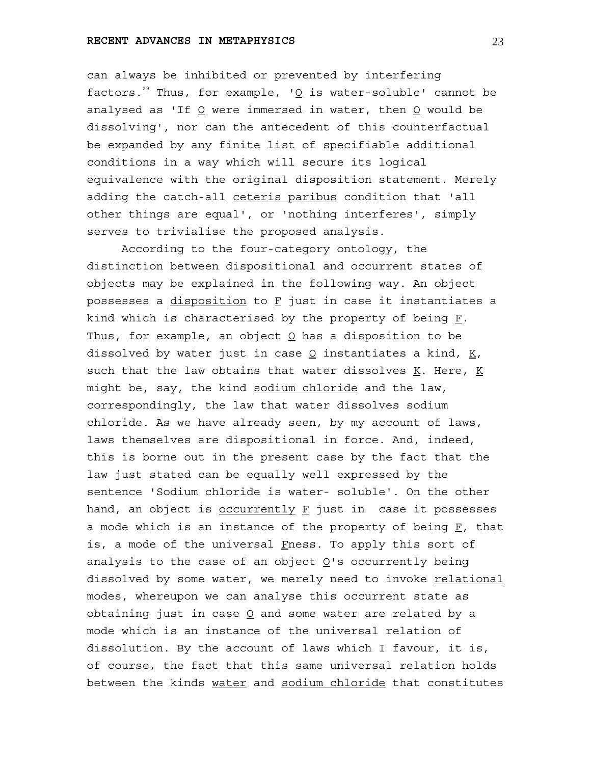can always be inhibited or prevented by interfering factors.<sup>29</sup> Thus, for example, 'O is water-soluble' cannot be analysed as 'If  $Q$  were immersed in water, then  $Q$  would be dissolving', nor can the antecedent of this counterfactual be expanded by any finite list of specifiable additional conditions in a way which will secure its logical equivalence with the original disposition statement. Merely adding the catch-all ceteris paribus condition that 'all other things are equal', or 'nothing interferes', simply serves to trivialise the proposed analysis.

 According to the four-category ontology, the distinction between dispositional and occurrent states of objects may be explained in the following way. An object possesses a disposition to  $F$  just in case it instantiates a kind which is characterised by the property of being  $\underline{F}$ . Thus, for example, an object  $0$  has a disposition to be dissolved by water just in case  $Q$  instantiates a kind,  $\underline{K}$ , such that the law obtains that water dissolves  $K$ . Here,  $K$ might be, say, the kind sodium chloride and the law, correspondingly, the law that water dissolves sodium chloride. As we have already seen, by my account of laws, laws themselves are dispositional in force. And, indeed, this is borne out in the present case by the fact that the law just stated can be equally well expressed by the sentence 'Sodium chloride is water- soluble'. On the other hand, an object is  $occurrenty F$  just in case it possesses a mode which is an instance of the property of being  $E$ , that is, a mode of the universal Fness. To apply this sort of analysis to the case of an object  $Q'$ s occurrently being dissolved by some water, we merely need to invoke relational modes, whereupon we can analyse this occurrent state as obtaining just in case  $Q$  and some water are related by a mode which is an instance of the universal relation of dissolution. By the account of laws which I favour, it is, of course, the fact that this same universal relation holds between the kinds water and sodium chloride that constitutes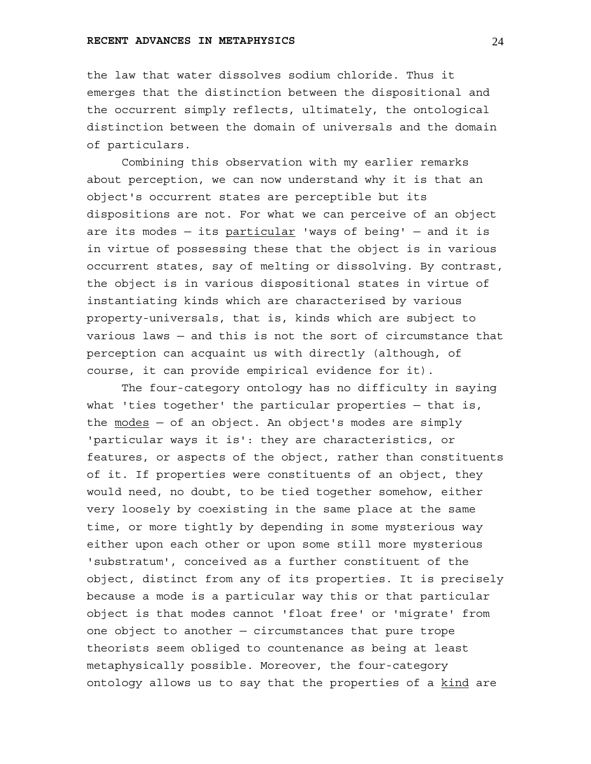the law that water dissolves sodium chloride. Thus it emerges that the distinction between the dispositional and the occurrent simply reflects, ultimately, the ontological distinction between the domain of universals and the domain of particulars.

 Combining this observation with my earlier remarks about perception, we can now understand why it is that an object's occurrent states are perceptible but its dispositions are not. For what we can perceive of an object are its modes – its particular 'ways of being' – and it is in virtue of possessing these that the object is in various occurrent states, say of melting or dissolving. By contrast, the object is in various dispositional states in virtue of instantiating kinds which are characterised by various property-universals, that is, kinds which are subject to various laws — and this is not the sort of circumstance that perception can acquaint us with directly (although, of course, it can provide empirical evidence for it).

 The four-category ontology has no difficulty in saying what 'ties together' the particular properties — that is, the  $\frac{modes}{1} - of$  an object. An object's modes are simply 'particular ways it is': they are characteristics, or features, or aspects of the object, rather than constituents of it. If properties were constituents of an object, they would need, no doubt, to be tied together somehow, either very loosely by coexisting in the same place at the same time, or more tightly by depending in some mysterious way either upon each other or upon some still more mysterious 'substratum', conceived as a further constituent of the object, distinct from any of its properties. It is precisely because a mode is a particular way this or that particular object is that modes cannot 'float free' or 'migrate' from one object to another — circumstances that pure trope theorists seem obliged to countenance as being at least metaphysically possible. Moreover, the four-category ontology allows us to say that the properties of a kind are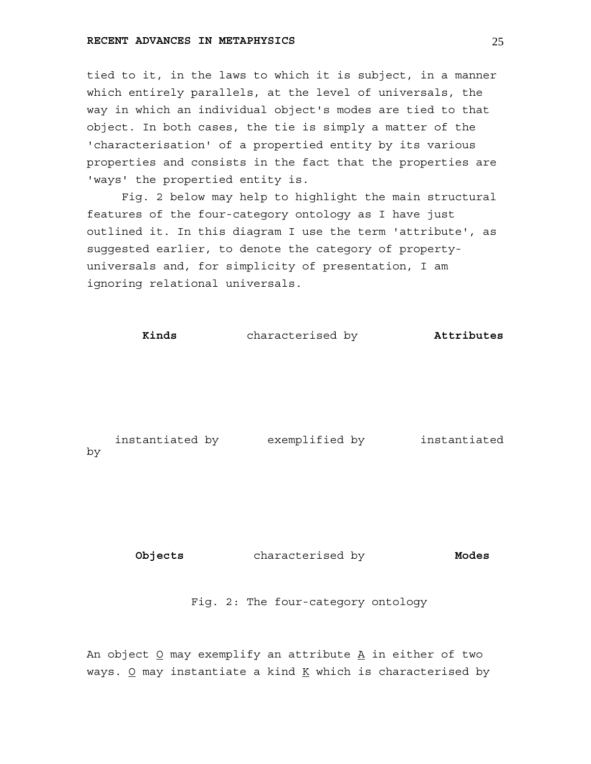by

tied to it, in the laws to which it is subject, in a manner which entirely parallels, at the level of universals, the way in which an individual object's modes are tied to that object. In both cases, the tie is simply a matter of the 'characterisation' of a propertied entity by its various properties and consists in the fact that the properties are 'ways' the propertied entity is.

 Fig. 2 below may help to highlight the main structural features of the four-category ontology as I have just outlined it. In this diagram I use the term 'attribute', as suggested earlier, to denote the category of propertyuniversals and, for simplicity of presentation, I am ignoring relational universals.

instantiated by exemplified by instantiated

**Kinds** characterised by **Attributes**

**Objects** characterised by **Modes**

Fig. 2: The four-category ontology

An object  $Q$  may exemplify an attribute  $\underline{A}$  in either of two ways.  $Q$  may instantiate a kind  $K$  which is characterised by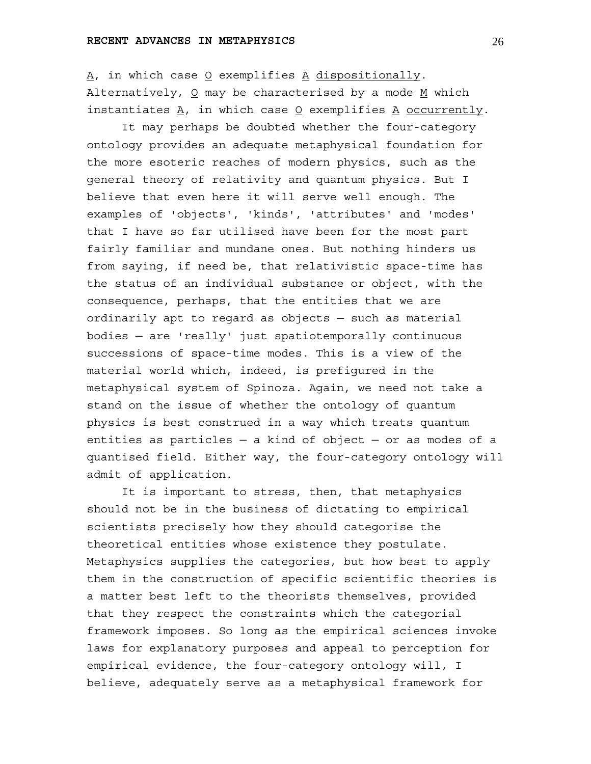A, in which case O exemplifies A dispositionally. Alternatively,  $Q$  may be characterised by a mode M which instantiates  $\underline{A}$ , in which case  $\underline{O}$  exemplifies  $\underline{A}$  occurrently.

 It may perhaps be doubted whether the four-category ontology provides an adequate metaphysical foundation for the more esoteric reaches of modern physics, such as the general theory of relativity and quantum physics. But I believe that even here it will serve well enough. The examples of 'objects', 'kinds', 'attributes' and 'modes' that I have so far utilised have been for the most part fairly familiar and mundane ones. But nothing hinders us from saying, if need be, that relativistic space-time has the status of an individual substance or object, with the consequence, perhaps, that the entities that we are ordinarily apt to regard as objects — such as material bodies — are 'really' just spatiotemporally continuous successions of space-time modes. This is a view of the material world which, indeed, is prefigured in the metaphysical system of Spinoza. Again, we need not take a stand on the issue of whether the ontology of quantum physics is best construed in a way which treats quantum entities as particles  $-$  a kind of object  $-$  or as modes of a quantised field. Either way, the four-category ontology will admit of application.

 It is important to stress, then, that metaphysics should not be in the business of dictating to empirical scientists precisely how they should categorise the theoretical entities whose existence they postulate. Metaphysics supplies the categories, but how best to apply them in the construction of specific scientific theories is a matter best left to the theorists themselves, provided that they respect the constraints which the categorial framework imposes. So long as the empirical sciences invoke laws for explanatory purposes and appeal to perception for empirical evidence, the four-category ontology will, I believe, adequately serve as a metaphysical framework for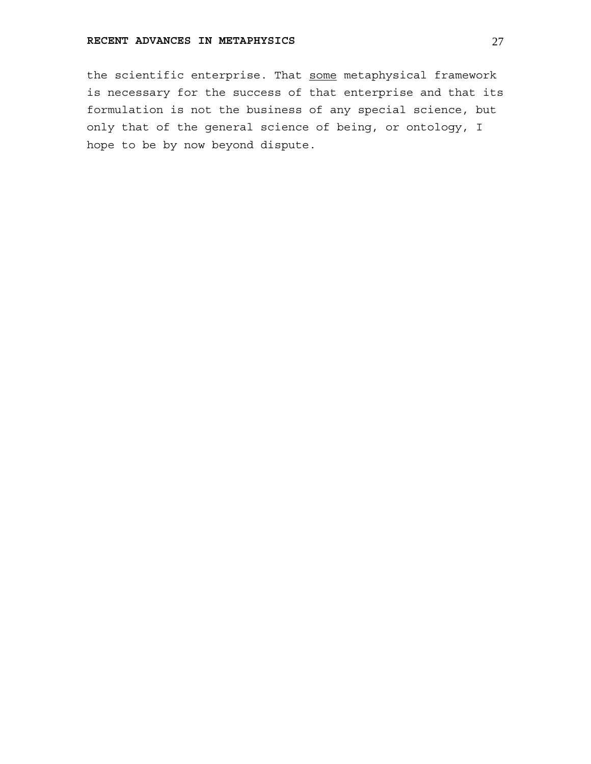the scientific enterprise. That some metaphysical framework is necessary for the success of that enterprise and that its formulation is not the business of any special science, but only that of the general science of being, or ontology, I hope to be by now beyond dispute.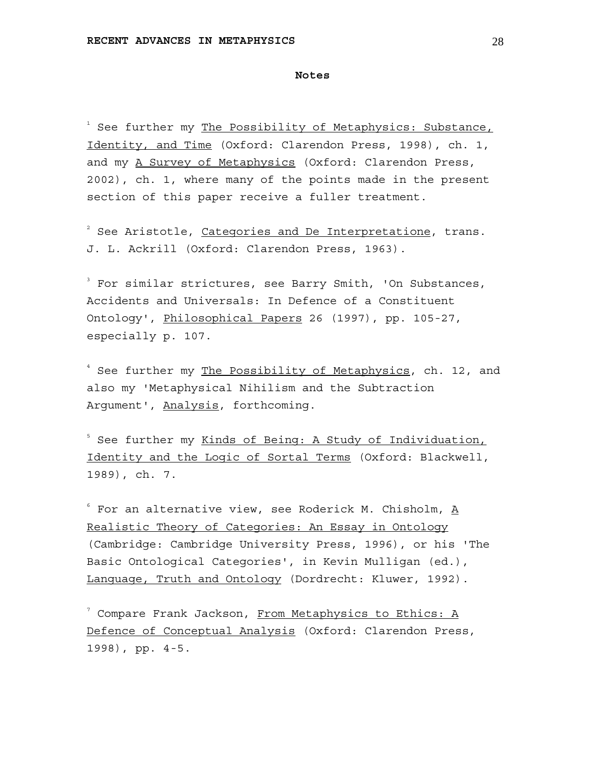**Notes**

<sup>1</sup> See further my <u>The Possibility of Metaphysics: Substance,</u> Identity, and Time (Oxford: Clarendon Press, 1998), ch. 1, and my A Survey of Metaphysics (Oxford: Clarendon Press, 2002), ch. 1, where many of the points made in the present section of this paper receive a fuller treatment.

<sup>2</sup> See Aristotle, <u>Categories and De Interpretatione</u>, trans. J. L. Ackrill (Oxford: Clarendon Press, 1963).

3 For similar strictures, see Barry Smith, 'On Substances, Accidents and Universals: In Defence of a Constituent Ontology', Philosophical Papers 26 (1997), pp. 105-27, especially p. 107.

<sup>4</sup> See further my <u>The Possibility of Metaphysics</u>, ch. 12, and also my 'Metaphysical Nihilism and the Subtraction Argument', Analysis, forthcoming.

<sup>5</sup> See further my <u>Kinds of Being: A Study of Individuation,</u> Identity and the Logic of Sortal Terms (Oxford: Blackwell, 1989), ch. 7.

 $^{\circ}$  For an alternative view, see Roderick M. Chisholm, <u>A</u> Realistic Theory of Categories: An Essay in Ontology (Cambridge: Cambridge University Press, 1996), or his 'The Basic Ontological Categories', in Kevin Mulligan (ed.), Language, Truth and Ontology (Dordrecht: Kluwer, 1992).

<sup>7</sup> Compare Frank Jackson, <u>From Metaphysics to Ethics: A</u> Defence of Conceptual Analysis (Oxford: Clarendon Press, 1998), pp. 4-5.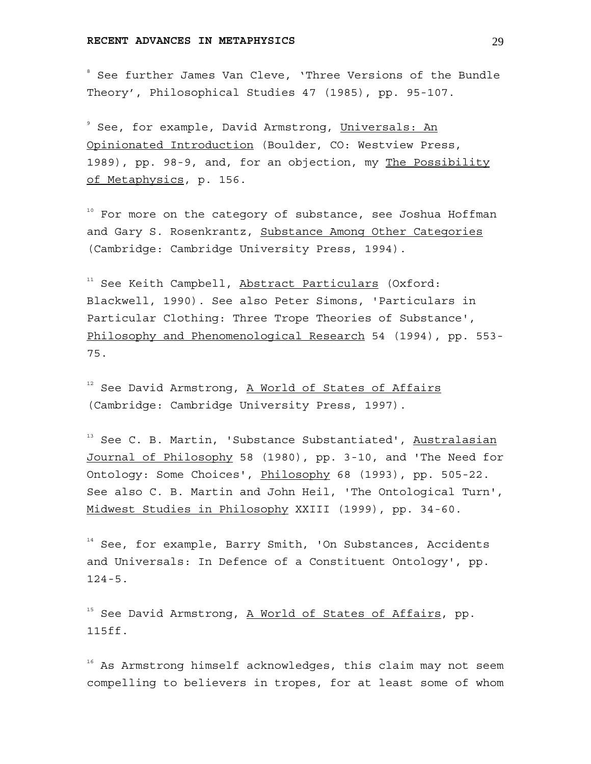8 See further James Van Cleve, 'Three Versions of the Bundle Theory', Philosophical Studies 47 (1985), pp. 95-107.

<sup>9</sup> See, for example, David Armstrong, <u>Universals: An</u> Opinionated Introduction (Boulder, CO: Westview Press, 1989), pp. 98-9, and, for an objection, my The Possibility of Metaphysics, p. 156.

<sup>10</sup> For more on the category of substance, see Joshua Hoffman and Gary S. Rosenkrantz, Substance Among Other Categories (Cambridge: Cambridge University Press, 1994).

<sup>11</sup> See Keith Campbell, Abstract Particulars (Oxford: Blackwell, 1990). See also Peter Simons, 'Particulars in Particular Clothing: Three Trope Theories of Substance', Philosophy and Phenomenological Research 54 (1994), pp. 553- 75.

 $12$  See David Armstrong, A World of States of Affairs (Cambridge: Cambridge University Press, 1997).

<sup>13</sup> See C. B. Martin, 'Substance Substantiated', Australasian Journal of Philosophy 58 (1980), pp. 3-10, and 'The Need for Ontology: Some Choices', Philosophy 68 (1993), pp. 505-22. See also C. B. Martin and John Heil, 'The Ontological Turn', Midwest Studies in Philosophy XXIII (1999), pp. 34-60.

<sup>14</sup> See, for example, Barry Smith, 'On Substances, Accidents and Universals: In Defence of a Constituent Ontology', pp.  $124 - 5$ .

<sup>15</sup> See David Armstrong, A World of States of Affairs, pp. 115ff.

<sup>16</sup> As Armstrong himself acknowledges, this claim may not seem compelling to believers in tropes, for at least some of whom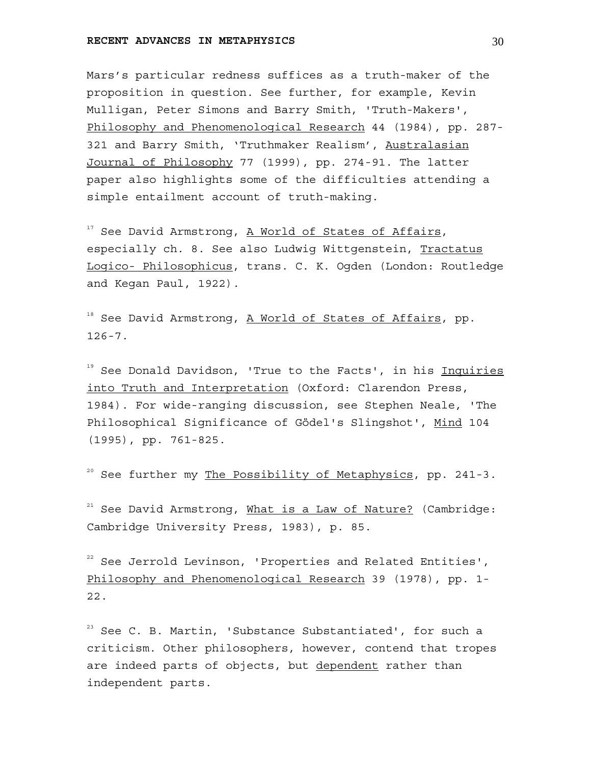### **RECENT ADVANCES IN METAPHYSICS 10 10 10 10 10 10 30 30**

Mars's particular redness suffices as a truth-maker of the proposition in question. See further, for example, Kevin Mulligan, Peter Simons and Barry Smith, 'Truth-Makers', Philosophy and Phenomenological Research 44 (1984), pp. 287- 321 and Barry Smith, 'Truthmaker Realism', Australasian Journal of Philosophy 77 (1999), pp. 274-91. The latter paper also highlights some of the difficulties attending a simple entailment account of truth-making.

<sup>17</sup> See David Armstrong, A World of States of Affairs, especially ch. 8. See also Ludwig Wittgenstein, Tractatus Logico- Philosophicus, trans. C. K. Ogden (London: Routledge and Kegan Paul, 1922).

<sup>18</sup> See David Armstrong, <u>A World of States of Affairs</u>, pp. 126-7.

<sup>19</sup> See Donald Davidson, 'True to the Facts', in his Inquiries into Truth and Interpretation (Oxford: Clarendon Press, 1984). For wide-ranging discussion, see Stephen Neale, 'The Philosophical Significance of Gödel's Slingshot', Mind 104 (1995), pp. 761-825.

<sup>20</sup> See further my The Possibility of Metaphysics, pp. 241-3.

 $21$  See David Armstrong, What is a Law of Nature? (Cambridge: Cambridge University Press, 1983), p. 85.

 $22$  See Jerrold Levinson, 'Properties and Related Entities', Philosophy and Phenomenological Research 39 (1978), pp. 1- 22.

<sup>23</sup> See C. B. Martin, 'Substance Substantiated', for such a criticism. Other philosophers, however, contend that tropes are indeed parts of objects, but dependent rather than independent parts.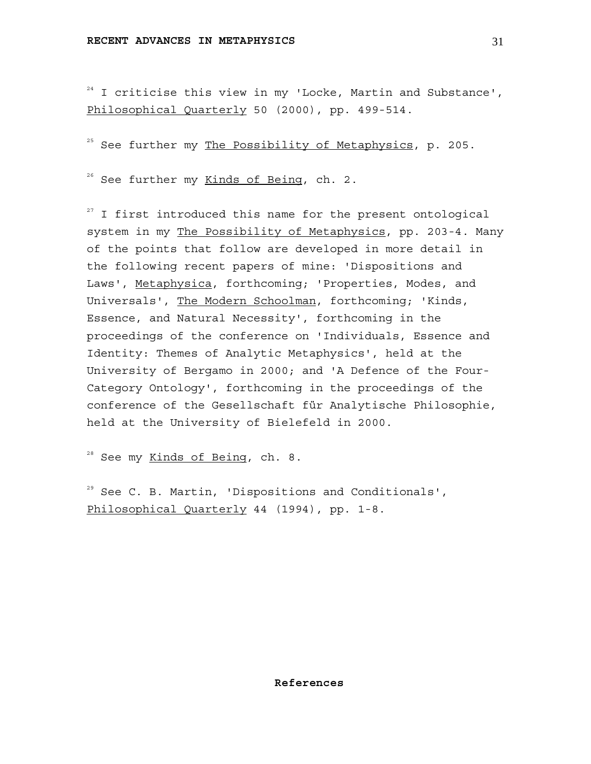$24$  I criticise this view in my 'Locke, Martin and Substance', Philosophical Quarterly 50 (2000), pp. 499-514.

 $25$  See further my The Possibility of Metaphysics, p. 205.

 $26$  See further my Kinds of Being, ch. 2.

 $27$  I first introduced this name for the present ontological system in my The Possibility of Metaphysics, pp. 203-4. Many of the points that follow are developed in more detail in the following recent papers of mine: 'Dispositions and Laws', Metaphysica, forthcoming; 'Properties, Modes, and Universals', The Modern Schoolman, forthcoming; 'Kinds, Essence, and Natural Necessity', forthcoming in the proceedings of the conference on 'Individuals, Essence and Identity: Themes of Analytic Metaphysics', held at the University of Bergamo in 2000; and 'A Defence of the Four-Category Ontology', forthcoming in the proceedings of the conference of the Gesellschaft für Analytische Philosophie, held at the University of Bielefeld in 2000.

 $28$  See my Kinds of Being, ch. 8.

<sup>29</sup> See C. B. Martin, 'Dispositions and Conditionals', Philosophical Quarterly 44 (1994), pp. 1-8.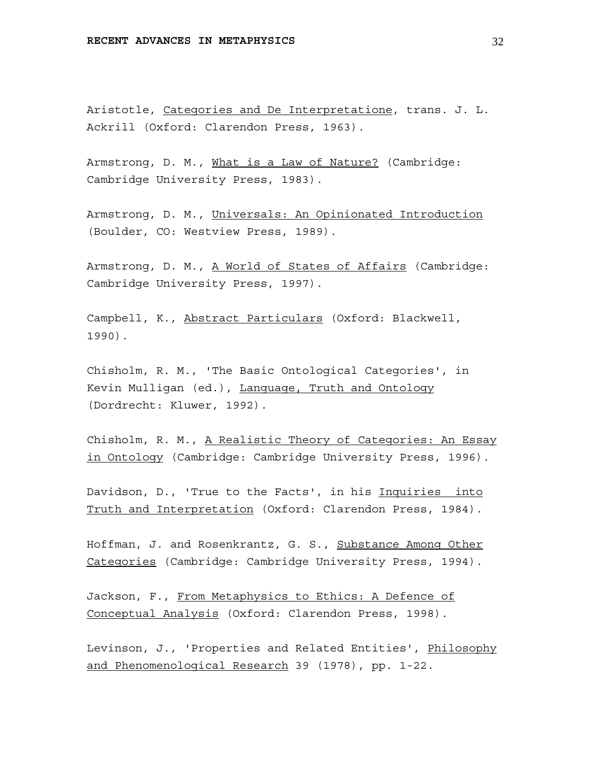Aristotle, Categories and De Interpretatione, trans. J. L. Ackrill (Oxford: Clarendon Press, 1963).

Armstrong, D. M., What is a Law of Nature? (Cambridge: Cambridge University Press, 1983).

Armstrong, D. M., Universals: An Opinionated Introduction (Boulder, CO: Westview Press, 1989).

Armstrong, D. M., A World of States of Affairs (Cambridge: Cambridge University Press, 1997).

Campbell, K., Abstract Particulars (Oxford: Blackwell, 1990).

Chisholm, R. M., 'The Basic Ontological Categories', in Kevin Mulligan (ed.), Language, Truth and Ontology (Dordrecht: Kluwer, 1992).

Chisholm, R. M., A Realistic Theory of Categories: An Essay in Ontology (Cambridge: Cambridge University Press, 1996).

Davidson, D., 'True to the Facts', in his Inquiries into Truth and Interpretation (Oxford: Clarendon Press, 1984).

Hoffman, J. and Rosenkrantz, G. S., Substance Among Other Categories (Cambridge: Cambridge University Press, 1994).

Jackson, F., From Metaphysics to Ethics: A Defence of Conceptual Analysis (Oxford: Clarendon Press, 1998).

Levinson, J., 'Properties and Related Entities', Philosophy and Phenomenological Research 39 (1978), pp. 1-22.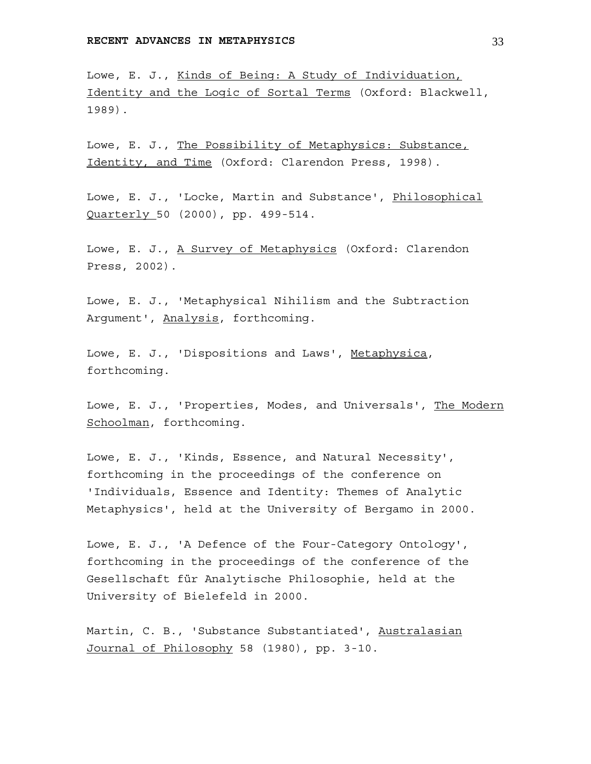Lowe, E. J., Kinds of Being: A Study of Individuation, Identity and the Logic of Sortal Terms (Oxford: Blackwell, 1989).

Lowe, E. J., The Possibility of Metaphysics: Substance, Identity, and Time (Oxford: Clarendon Press, 1998).

Lowe, E. J., 'Locke, Martin and Substance', Philosophical Quarterly 50 (2000), pp. 499-514.

Lowe, E. J., <u>A Survey of Metaphysics</u> (Oxford: Clarendon Press, 2002).

Lowe, E. J., 'Metaphysical Nihilism and the Subtraction Argument', Analysis, forthcoming.

Lowe, E. J., 'Dispositions and Laws', Metaphysica, forthcoming.

Lowe, E. J., 'Properties, Modes, and Universals', The Modern Schoolman, forthcoming.

Lowe, E. J., 'Kinds, Essence, and Natural Necessity', forthcoming in the proceedings of the conference on 'Individuals, Essence and Identity: Themes of Analytic Metaphysics', held at the University of Bergamo in 2000.

Lowe, E. J., 'A Defence of the Four-Category Ontology', forthcoming in the proceedings of the conference of the Gesellschaft für Analytische Philosophie, held at the University of Bielefeld in 2000.

Martin, C. B., 'Substance Substantiated', Australasian Journal of Philosophy 58 (1980), pp. 3-10.